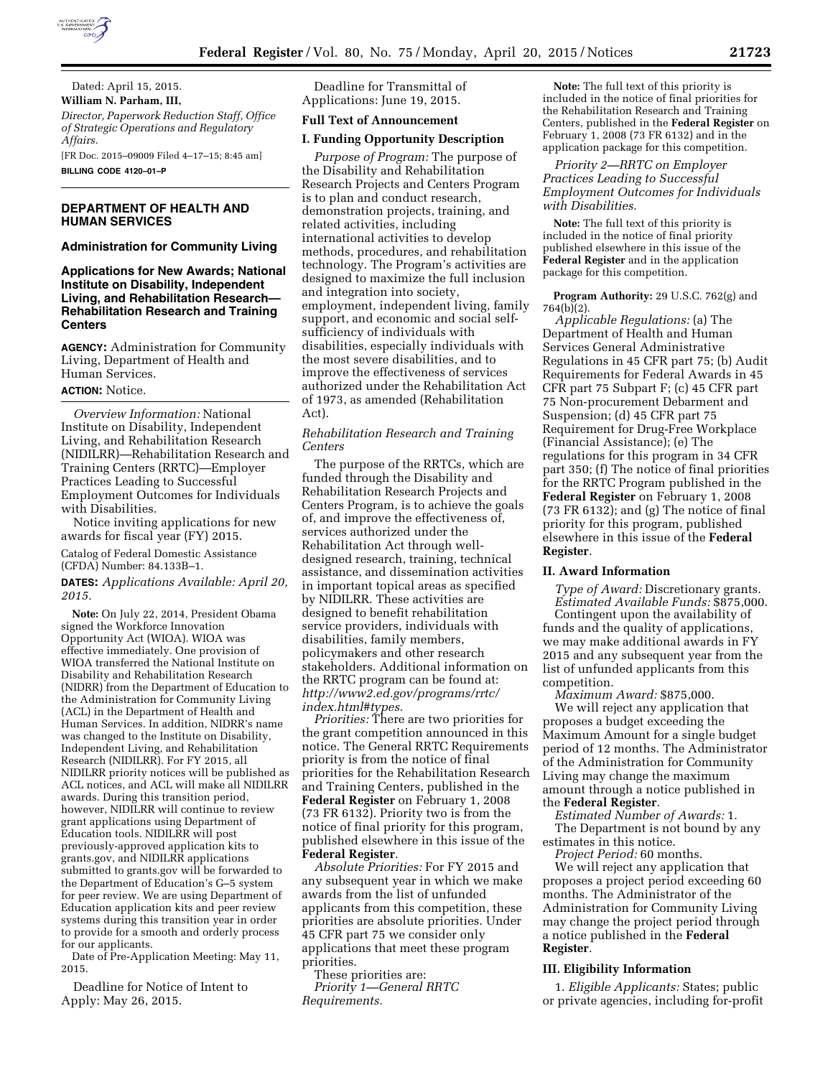

Dated: April 15, 2015. **William N. Parham, III,**  *Director, Paperwork Reduction Staff, Office of Strategic Operations and Regulatory Affairs.* 

[FR Doc. 2015–09009 Filed 4–17–15; 8:45 am] **BILLING CODE 4120–01–P** 

# **DEPARTMENT OF HEALTH AND HUMAN SERVICES**

## **Administration for Community Living**

**Applications for New Awards; National Institute on Disability, Independent Living, and Rehabilitation Research— Rehabilitation Research and Training Centers** 

**AGENCY:** Administration for Community Living, Department of Health and Human Services.

## **ACTION:** Notice.

*Overview Information:* National Institute on Disability, Independent Living, and Rehabilitation Research (NIDILRR)—Rehabilitation Research and Training Centers (RRTC)—Employer Practices Leading to Successful Employment Outcomes for Individuals with Disabilities.

Notice inviting applications for new awards for fiscal year (FY) 2015.

Catalog of Federal Domestic Assistance (CFDA) Number: 84.133B–1.

**DATES:** *Applications Available: April 20, 2015.* 

**Note:** On July 22, 2014, President Obama signed the Workforce Innovation Opportunity Act (WIOA). WIOA was effective immediately. One provision of WIOA transferred the National Institute on Disability and Rehabilitation Research (NIDRR) from the Department of Education to the Administration for Community Living (ACL) in the Department of Health and Human Services. In addition, NIDRR's name was changed to the Institute on Disability, Independent Living, and Rehabilitation Research (NIDILRR). For FY 2015, all NIDILRR priority notices will be published as ACL notices, and ACL will make all NIDILRR awards. During this transition period, however, NIDILRR will continue to review grant applications using Department of Education tools. NIDILRR will post previously-approved application kits to grants.gov, and NIDILRR applications submitted to grants.gov will be forwarded to the Department of Education's G–5 system for peer review. We are using Department of Education application kits and peer review systems during this transition year in order to provide for a smooth and orderly process for our applicants.

Date of Pre-Application Meeting: May 11, 2015.

Deadline for Notice of Intent to Apply: May 26, 2015.

Deadline for Transmittal of Applications: June 19, 2015.

# **Full Text of Announcement**

## **I. Funding Opportunity Description**

*Purpose of Program:* The purpose of the Disability and Rehabilitation Research Projects and Centers Program is to plan and conduct research, demonstration projects, training, and related activities, including international activities to develop methods, procedures, and rehabilitation technology. The Program's activities are designed to maximize the full inclusion and integration into society, employment, independent living, family support, and economic and social selfsufficiency of individuals with disabilities, especially individuals with the most severe disabilities, and to improve the effectiveness of services authorized under the Rehabilitation Act of 1973, as amended (Rehabilitation Act).

*Rehabilitation Research and Training Centers* 

The purpose of the RRTCs, which are funded through the Disability and Rehabilitation Research Projects and Centers Program, is to achieve the goals of, and improve the effectiveness of, services authorized under the Rehabilitation Act through welldesigned research, training, technical assistance, and dissemination activities in important topical areas as specified by NIDILRR. These activities are designed to benefit rehabilitation service providers, individuals with disabilities, family members, policymakers and other research stakeholders. Additional information on the RRTC program can be found at: *[http://www2.ed.gov/programs/rrtc/](http://www2.ed.gov/programs/rrtc/index.html#types) [index.html#types.](http://www2.ed.gov/programs/rrtc/index.html#types)* 

*Priorities:* There are two priorities for the grant competition announced in this notice. The General RRTC Requirements priority is from the notice of final priorities for the Rehabilitation Research and Training Centers, published in the **Federal Register** on February 1, 2008 (73 FR 6132). Priority two is from the notice of final priority for this program, published elsewhere in this issue of the **Federal Register**.

*Absolute Priorities:* For FY 2015 and any subsequent year in which we make awards from the list of unfunded applicants from this competition, these priorities are absolute priorities. Under 45 CFR part 75 we consider only applications that meet these program priorities.

These priorities are: *Priority 1—General RRTC Requirements.* 

**Note:** The full text of this priority is included in the notice of final priorities for the Rehabilitation Research and Training Centers, published in the **Federal Register** on February 1, 2008 (73 FR 6132) and in the application package for this competition.

*Priority 2—RRTC on Employer Practices Leading to Successful Employment Outcomes for Individuals with Disabilities.* 

**Note:** The full text of this priority is included in the notice of final priority published elsewhere in this issue of the **Federal Register** and in the application package for this competition.

**Program Authority:** 29 U.S.C. 762(g) and 764(b)(2).

*Applicable Regulations:* (a) The Department of Health and Human Services General Administrative Regulations in 45 CFR part 75; (b) Audit Requirements for Federal Awards in 45 CFR part 75 Subpart F; (c) 45 CFR part 75 Non-procurement Debarment and Suspension; (d) 45 CFR part 75 Requirement for Drug-Free Workplace (Financial Assistance); (e) The regulations for this program in 34 CFR part 350; (f) The notice of final priorities for the RRTC Program published in the **Federal Register** on February 1, 2008 (73 FR 6132); and (g) The notice of final priority for this program, published elsewhere in this issue of the **Federal Register**.

#### **II. Award Information**

*Type of Award:* Discretionary grants. *Estimated Available Funds:* \$875,000.

Contingent upon the availability of funds and the quality of applications, we may make additional awards in FY 2015 and any subsequent year from the list of unfunded applicants from this competition.

*Maximum Award:* \$875,000. We will reject any application that proposes a budget exceeding the Maximum Amount for a single budget period of 12 months. The Administrator of the Administration for Community Living may change the maximum amount through a notice published in the **Federal Register**.

*Estimated Number of Awards:* 1.

The Department is not bound by any estimates in this notice.

*Project Period:* 60 months.

We will reject any application that proposes a project period exceeding 60 months. The Administrator of the Administration for Community Living may change the project period through a notice published in the **Federal Register**.

## **III. Eligibility Information**

1. *Eligible Applicants:* States; public or private agencies, including for-profit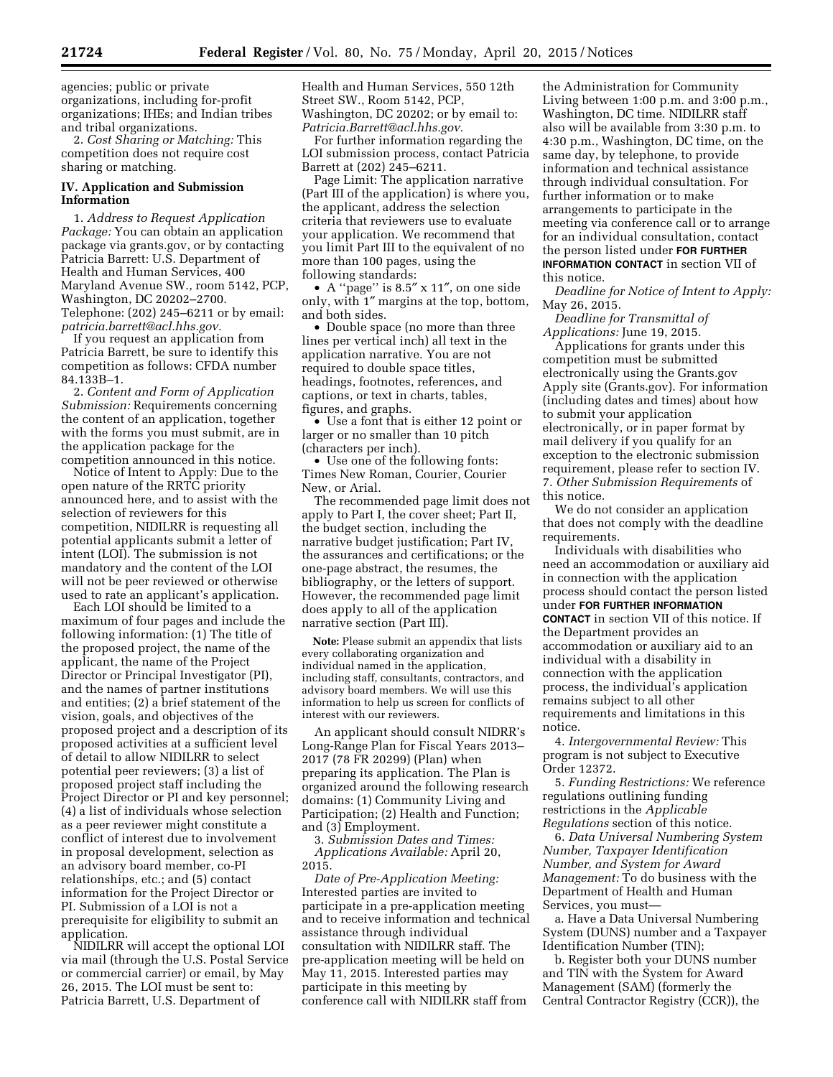agencies; public or private organizations, including for-profit organizations; IHEs; and Indian tribes and tribal organizations.

2. *Cost Sharing or Matching:* This competition does not require cost sharing or matching.

## **IV. Application and Submission Information**

1. *Address to Request Application Package:* You can obtain an application package via grants.gov, or by contacting Patricia Barrett: U.S. Department of Health and Human Services, 400 Maryland Avenue SW., room 5142, PCP, Washington, DC 20202–2700. Telephone: (202) 245–6211 or by email: *[patricia.barrett@acl.hhs.gov.](mailto:patricia.barrett@acl.hhs.gov)* 

If you request an application from Patricia Barrett, be sure to identify this competition as follows: CFDA number 84.133B–1.

2. *Content and Form of Application Submission:* Requirements concerning the content of an application, together with the forms you must submit, are in the application package for the competition announced in this notice.

Notice of Intent to Apply: Due to the open nature of the RRTC priority announced here, and to assist with the selection of reviewers for this competition, NIDILRR is requesting all potential applicants submit a letter of intent (LOI). The submission is not mandatory and the content of the LOI will not be peer reviewed or otherwise used to rate an applicant's application.

Each LOI should be limited to a maximum of four pages and include the following information: (1) The title of the proposed project, the name of the applicant, the name of the Project Director or Principal Investigator (PI), and the names of partner institutions and entities; (2) a brief statement of the vision, goals, and objectives of the proposed project and a description of its proposed activities at a sufficient level of detail to allow NIDILRR to select potential peer reviewers; (3) a list of proposed project staff including the Project Director or PI and key personnel; (4) a list of individuals whose selection as a peer reviewer might constitute a conflict of interest due to involvement in proposal development, selection as an advisory board member, co-PI relationships, etc.; and (5) contact information for the Project Director or PI. Submission of a LOI is not a prerequisite for eligibility to submit an application.

NIDILRR will accept the optional LOI via mail (through the U.S. Postal Service or commercial carrier) or email, by May 26, 2015. The LOI must be sent to: Patricia Barrett, U.S. Department of

Health and Human Services, 550 12th Street SW., Room 5142, PCP, Washington, DC 20202; or by email to: *[Patricia.Barrett@acl.hhs.gov.](mailto:Patricia.Barrett@acl.hhs.gov)* 

For further information regarding the LOI submission process, contact Patricia Barrett at (202) 245–6211.

Page Limit: The application narrative (Part III of the application) is where you, the applicant, address the selection criteria that reviewers use to evaluate your application. We recommend that you limit Part III to the equivalent of no more than 100 pages, using the following standards:

• A ''page'' is 8.5″ x 11″, on one side only, with 1″ margins at the top, bottom, and both sides.

• Double space (no more than three lines per vertical inch) all text in the application narrative. You are not required to double space titles, headings, footnotes, references, and captions, or text in charts, tables, figures, and graphs.

• Use a font that is either 12 point or larger or no smaller than 10 pitch (characters per inch).

• Use one of the following fonts: Times New Roman, Courier, Courier New, or Arial.

The recommended page limit does not apply to Part I, the cover sheet; Part II, the budget section, including the narrative budget justification; Part IV, the assurances and certifications; or the one-page abstract, the resumes, the bibliography, or the letters of support. However, the recommended page limit does apply to all of the application narrative section (Part III).

**Note:** Please submit an appendix that lists every collaborating organization and individual named in the application, including staff, consultants, contractors, and advisory board members. We will use this information to help us screen for conflicts of interest with our reviewers.

An applicant should consult NIDRR's Long-Range Plan for Fiscal Years 2013– 2017 (78 FR 20299) (Plan) when preparing its application. The Plan is organized around the following research domains: (1) Community Living and Participation; (2) Health and Function; and (3) Employment.

3. *Submission Dates and Times: Applications Available:* April 20, 2015.

*Date of Pre-Application Meeting:*  Interested parties are invited to participate in a pre-application meeting and to receive information and technical assistance through individual consultation with NIDILRR staff. The pre-application meeting will be held on May 11, 2015. Interested parties may participate in this meeting by conference call with NIDILRR staff from

the Administration for Community Living between 1:00 p.m. and 3:00 p.m., Washington, DC time. NIDILRR staff also will be available from 3:30 p.m. to 4:30 p.m., Washington, DC time, on the same day, by telephone, to provide information and technical assistance through individual consultation. For further information or to make arrangements to participate in the meeting via conference call or to arrange for an individual consultation, contact the person listed under **FOR FURTHER INFORMATION CONTACT** in section VII of this notice.

*Deadline for Notice of Intent to Apply:*  May 26, 2015.

*Deadline for Transmittal of Applications:* June 19, 2015.

Applications for grants under this competition must be submitted electronically using the Grants.gov Apply site (Grants.gov). For information (including dates and times) about how to submit your application electronically, or in paper format by mail delivery if you qualify for an exception to the electronic submission requirement, please refer to section IV. 7. *Other Submission Requirements* of this notice.

We do not consider an application that does not comply with the deadline requirements.

Individuals with disabilities who need an accommodation or auxiliary aid in connection with the application process should contact the person listed under **FOR FURTHER INFORMATION CONTACT** in section VII of this notice. If the Department provides an accommodation or auxiliary aid to an individual with a disability in connection with the application process, the individual's application remains subject to all other requirements and limitations in this notice.

4. *Intergovernmental Review:* This program is not subject to Executive Order 12372.

5. *Funding Restrictions:* We reference regulations outlining funding restrictions in the *Applicable Regulations* section of this notice.

6. *Data Universal Numbering System Number, Taxpayer Identification Number, and System for Award Management:* To do business with the Department of Health and Human Services, you must—

a. Have a Data Universal Numbering System (DUNS) number and a Taxpayer Identification Number (TIN);

b. Register both your DUNS number and TIN with the System for Award Management (SAM) (formerly the Central Contractor Registry (CCR)), the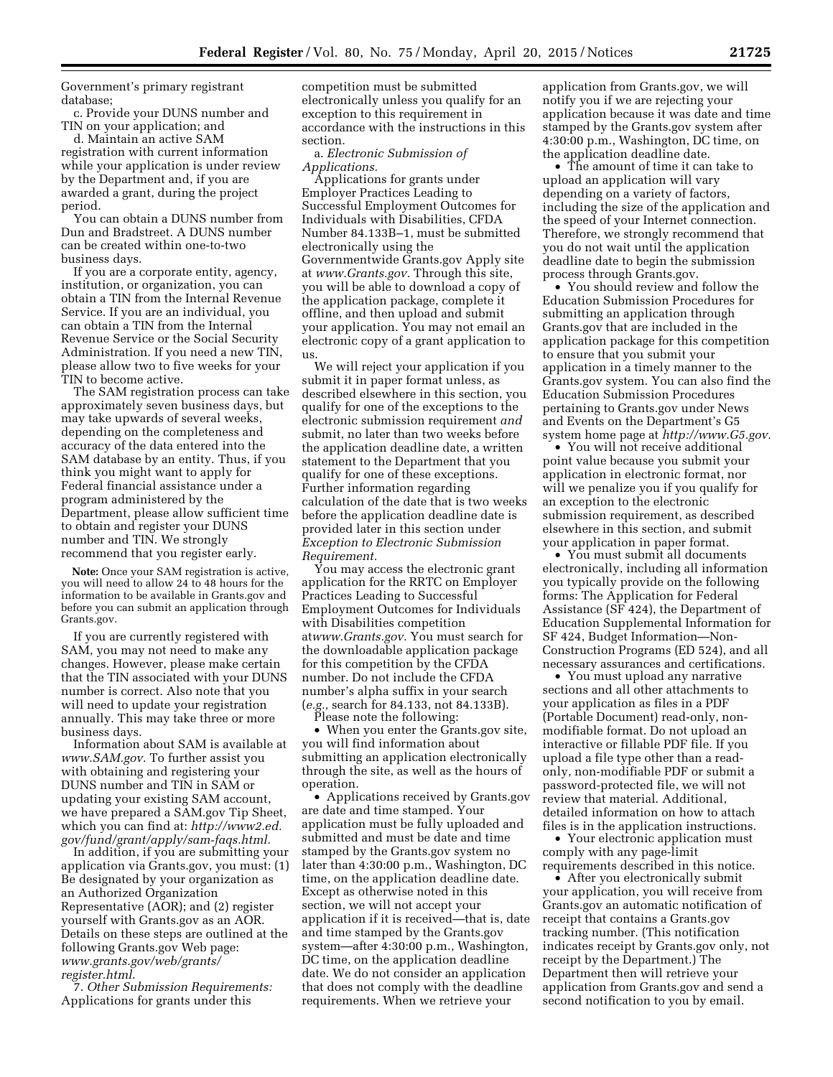Government's primary registrant database;

c. Provide your DUNS number and TIN on your application; and

d. Maintain an active SAM registration with current information while your application is under review by the Department and, if you are awarded a grant, during the project period.

You can obtain a DUNS number from Dun and Bradstreet. A DUNS number can be created within one-to-two business days.

If you are a corporate entity, agency, institution, or organization, you can obtain a TIN from the Internal Revenue Service. If you are an individual, you can obtain a TIN from the Internal Revenue Service or the Social Security Administration. If you need a new TIN, please allow two to five weeks for your TIN to become active.

The SAM registration process can take approximately seven business days, but may take upwards of several weeks, depending on the completeness and accuracy of the data entered into the SAM database by an entity. Thus, if you think you might want to apply for Federal financial assistance under a program administered by the Department, please allow sufficient time to obtain and register your DUNS number and TIN. We strongly recommend that you register early.

**Note:** Once your SAM registration is active, you will need to allow 24 to 48 hours for the information to be available in Grants.gov and before you can submit an application through Grants.gov.

If you are currently registered with SAM, you may not need to make any changes. However, please make certain that the TIN associated with your DUNS number is correct. Also note that you will need to update your registration annually. This may take three or more business days.

Information about SAM is available at *[www.SAM.gov.](http://www.SAM.gov)* To further assist you with obtaining and registering your DUNS number and TIN in SAM or updating your existing SAM account, we have prepared a SAM.gov Tip Sheet, which you can find at: *[http://www2.ed.](http://www2.ed.gov/fund/grant/apply/sam-faqs.html) [gov/fund/grant/apply/sam-faqs.html.](http://www2.ed.gov/fund/grant/apply/sam-faqs.html)* 

In addition, if you are submitting your application via Grants.gov, you must: (1) Be designated by your organization as an Authorized Organization Representative (AOR); and (2) register yourself with Grants.gov as an AOR. Details on these steps are outlined at the following Grants.gov Web page: *[www.grants.gov/web/grants/](http://www.grants.gov/web/grants/register.html) [register.html](http://www.grants.gov/web/grants/register.html)*.

7. *Other Submission Requirements:*  Applications for grants under this

competition must be submitted electronically unless you qualify for an exception to this requirement in accordance with the instructions in this section.

a. *Electronic Submission of Applications.* 

Applications for grants under Employer Practices Leading to Successful Employment Outcomes for Individuals with Disabilities, CFDA Number 84.133B–1, must be submitted electronically using the Governmentwide Grants.gov Apply site at *[www.Grants.gov.](http://www.Grants.gov)* Through this site, you will be able to download a copy of the application package, complete it offline, and then upload and submit your application. You may not email an electronic copy of a grant application to us.

We will reject your application if you submit it in paper format unless, as described elsewhere in this section, you qualify for one of the exceptions to the electronic submission requirement *and*  submit, no later than two weeks before the application deadline date, a written statement to the Department that you qualify for one of these exceptions. Further information regarding calculation of the date that is two weeks before the application deadline date is provided later in this section under *Exception to Electronic Submission Requirement.* 

You may access the electronic grant application for the RRTC on Employer Practices Leading to Successful Employment Outcomes for Individuals with Disabilities competition at*[www.Grants.gov.](http://www.Grants.gov)* You must search for the downloadable application package for this competition by the CFDA number. Do not include the CFDA number's alpha suffix in your search (*e.g.,* search for 84.133, not 84.133B).

Please note the following:

• When you enter the Grants.gov site, you will find information about submitting an application electronically through the site, as well as the hours of operation.

• Applications received by Grants.gov are date and time stamped. Your application must be fully uploaded and submitted and must be date and time stamped by the Grants.gov system no later than 4:30:00 p.m., Washington, DC time, on the application deadline date. Except as otherwise noted in this section, we will not accept your application if it is received—that is, date and time stamped by the Grants.gov system—after 4:30:00 p.m., Washington, DC time, on the application deadline date. We do not consider an application that does not comply with the deadline requirements. When we retrieve your

application from Grants.gov, we will notify you if we are rejecting your application because it was date and time stamped by the Grants.gov system after 4:30:00 p.m., Washington, DC time, on the application deadline date.

• The amount of time it can take to upload an application will vary depending on a variety of factors, including the size of the application and the speed of your Internet connection. Therefore, we strongly recommend that you do not wait until the application deadline date to begin the submission process through Grants.gov.

• You should review and follow the Education Submission Procedures for submitting an application through Grants.gov that are included in the application package for this competition to ensure that you submit your application in a timely manner to the Grants.gov system. You can also find the Education Submission Procedures pertaining to Grants.gov under News and Events on the Department's G5 system home page at *[http://www.G5.gov.](http://www.G5.gov)* 

• You will not receive additional point value because you submit your application in electronic format, nor will we penalize you if you qualify for an exception to the electronic submission requirement, as described elsewhere in this section, and submit your application in paper format.

• You must submit all documents electronically, including all information you typically provide on the following forms: The Application for Federal Assistance (SF 424), the Department of Education Supplemental Information for SF 424, Budget Information—Non-Construction Programs (ED 524), and all necessary assurances and certifications.

• You must upload any narrative sections and all other attachments to your application as files in a PDF (Portable Document) read-only, nonmodifiable format. Do not upload an interactive or fillable PDF file. If you upload a file type other than a readonly, non-modifiable PDF or submit a password-protected file, we will not review that material. Additional, detailed information on how to attach files is in the application instructions.

• Your electronic application must comply with any page-limit requirements described in this notice.

• After you electronically submit your application, you will receive from Grants.gov an automatic notification of receipt that contains a Grants.gov tracking number. (This notification indicates receipt by Grants.gov only, not receipt by the Department.) The Department then will retrieve your application from Grants.gov and send a second notification to you by email.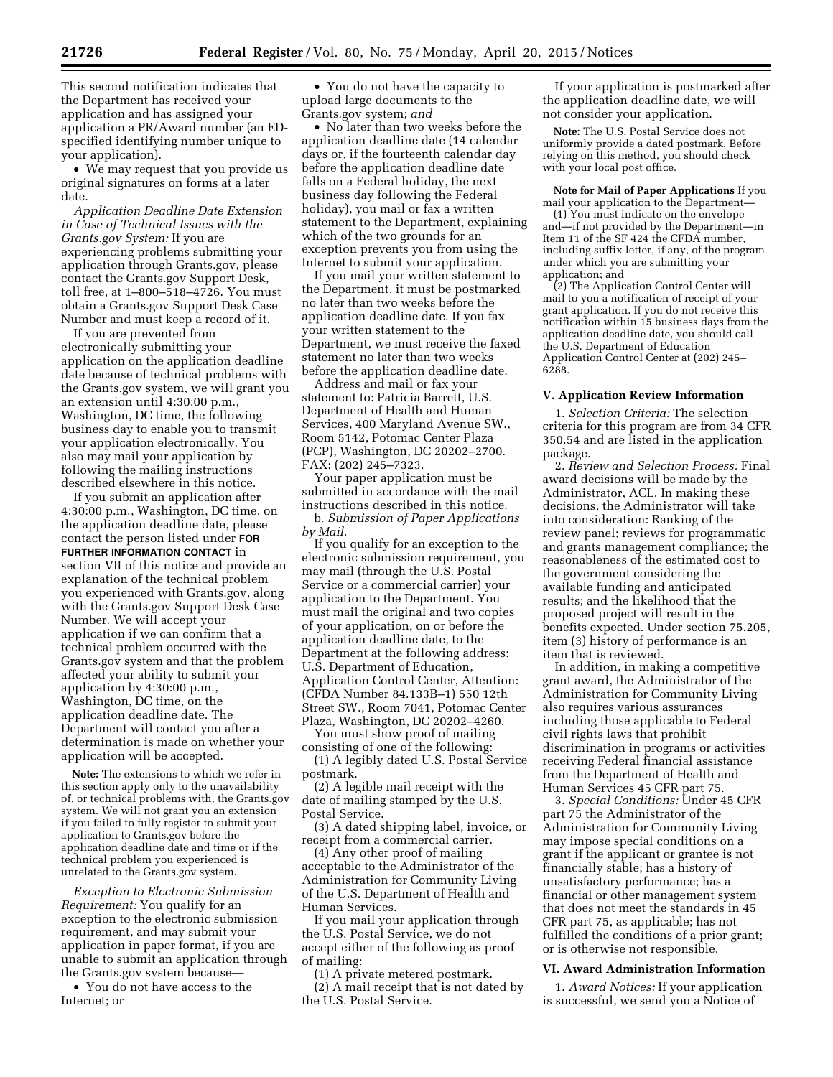This second notification indicates that the Department has received your application and has assigned your application a PR/Award number (an EDspecified identifying number unique to your application).

• We may request that you provide us original signatures on forms at a later date.

*Application Deadline Date Extension in Case of Technical Issues with the Grants.gov System:* If you are experiencing problems submitting your application through Grants.gov, please contact the Grants.gov Support Desk, toll free, at 1–800–518–4726. You must obtain a Grants.gov Support Desk Case Number and must keep a record of it.

If you are prevented from electronically submitting your application on the application deadline date because of technical problems with the Grants.gov system, we will grant you an extension until 4:30:00 p.m., Washington, DC time, the following business day to enable you to transmit your application electronically. You also may mail your application by following the mailing instructions described elsewhere in this notice.

If you submit an application after 4:30:00 p.m., Washington, DC time, on the application deadline date, please contact the person listed under **FOR FURTHER INFORMATION CONTACT** in section VII of this notice and provide an explanation of the technical problem you experienced with Grants.gov, along with the Grants.gov Support Desk Case Number. We will accept your application if we can confirm that a technical problem occurred with the Grants.gov system and that the problem affected your ability to submit your application by 4:30:00 p.m., Washington, DC time, on the application deadline date. The Department will contact you after a determination is made on whether your application will be accepted.

**Note:** The extensions to which we refer in this section apply only to the unavailability of, or technical problems with, the Grants.gov system. We will not grant you an extension if you failed to fully register to submit your application to Grants.gov before the application deadline date and time or if the technical problem you experienced is unrelated to the Grants.gov system.

*Exception to Electronic Submission Requirement:* You qualify for an exception to the electronic submission requirement, and may submit your application in paper format, if you are unable to submit an application through the Grants.gov system because—

• You do not have access to the Internet; or

• You do not have the capacity to upload large documents to the Grants.gov system; *and* 

• No later than two weeks before the application deadline date (14 calendar days or, if the fourteenth calendar day before the application deadline date falls on a Federal holiday, the next business day following the Federal holiday), you mail or fax a written statement to the Department, explaining which of the two grounds for an exception prevents you from using the Internet to submit your application.

If you mail your written statement to the Department, it must be postmarked no later than two weeks before the application deadline date. If you fax your written statement to the Department, we must receive the faxed statement no later than two weeks before the application deadline date.

Address and mail or fax your statement to: Patricia Barrett, U.S. Department of Health and Human Services, 400 Maryland Avenue SW., Room 5142, Potomac Center Plaza (PCP), Washington, DC 20202–2700. FAX: (202) 245–7323.

Your paper application must be submitted in accordance with the mail instructions described in this notice. b. *Submission of Paper Applications* 

*by Mail.* 

If you qualify for an exception to the electronic submission requirement, you may mail (through the U.S. Postal Service or a commercial carrier) your application to the Department. You must mail the original and two copies of your application, on or before the application deadline date, to the Department at the following address: U.S. Department of Education, Application Control Center, Attention: (CFDA Number 84.133B–1) 550 12th Street SW., Room 7041, Potomac Center Plaza, Washington, DC 20202–4260.

You must show proof of mailing consisting of one of the following: (1) A legibly dated U.S. Postal Service

postmark.

(2) A legible mail receipt with the date of mailing stamped by the U.S. Postal Service.

(3) A dated shipping label, invoice, or receipt from a commercial carrier.

(4) Any other proof of mailing acceptable to the Administrator of the Administration for Community Living of the U.S. Department of Health and Human Services.

If you mail your application through the U.S. Postal Service, we do not accept either of the following as proof of mailing:

(1) A private metered postmark. (2) A mail receipt that is not dated by the U.S. Postal Service.

If your application is postmarked after the application deadline date, we will not consider your application.

**Note:** The U.S. Postal Service does not uniformly provide a dated postmark. Before relying on this method, you should check with your local post office.

**Note for Mail of Paper Applications** If you mail your application to the Department—

(1) You must indicate on the envelope and—if not provided by the Department—in Item 11 of the SF 424 the CFDA number, including suffix letter, if any, of the program under which you are submitting your application; and

(2) The Application Control Center will mail to you a notification of receipt of your grant application. If you do not receive this notification within 15 business days from the application deadline date, you should call the U.S. Department of Education Application Control Center at (202) 245– 6288.

### **V. Application Review Information**

1. *Selection Criteria:* The selection criteria for this program are from 34 CFR 350.54 and are listed in the application package.

2. *Review and Selection Process:* Final award decisions will be made by the Administrator, ACL. In making these decisions, the Administrator will take into consideration: Ranking of the review panel; reviews for programmatic and grants management compliance; the reasonableness of the estimated cost to the government considering the available funding and anticipated results; and the likelihood that the proposed project will result in the benefits expected. Under section 75.205, item (3) history of performance is an item that is reviewed.

In addition, in making a competitive grant award, the Administrator of the Administration for Community Living also requires various assurances including those applicable to Federal civil rights laws that prohibit discrimination in programs or activities receiving Federal financial assistance from the Department of Health and Human Services 45 CFR part 75.

3. *Special Conditions:* Under 45 CFR part 75 the Administrator of the Administration for Community Living may impose special conditions on a grant if the applicant or grantee is not financially stable; has a history of unsatisfactory performance; has a financial or other management system that does not meet the standards in 45 CFR part 75, as applicable; has not fulfilled the conditions of a prior grant; or is otherwise not responsible.

#### **VI. Award Administration Information**

1. *Award Notices:* If your application is successful, we send you a Notice of